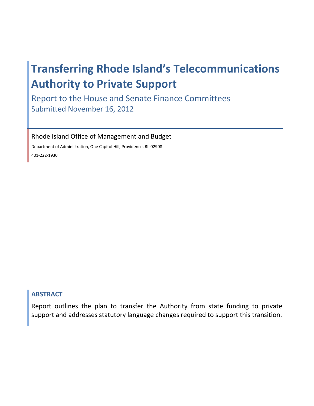# **Transferring Rhode Island's Telecommunications Authority to Private Support**

Report to the House and Senate Finance Committees Submitted November 16, 2012

Rhode Island Office of Management and Budget

Department of Administration, One Capitol Hill, Providence, RI 02908 401‐222‐1930

### **ABSTRACT**

Report outlines the plan to transfer the Authority from state funding to private support and addresses statutory language changes required to support this transition.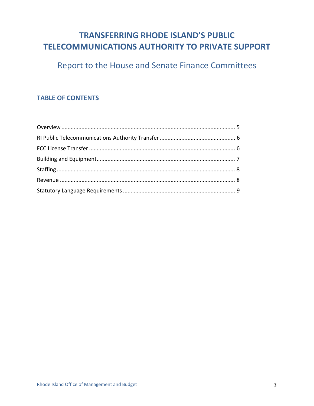# **TRANSFERRING RHODE ISLAND'S PUBLIC TELECOMMUNICATIONS AUTHORITY TO PRIVATE SUPPORT**

Report to the House and Senate Finance Committees

## **TABLE OF CONTENTS**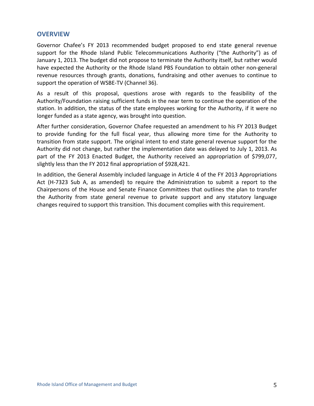#### **OVERVIEW**

Governor Chafee's FY 2013 recommended budget proposed to end state general revenue support for the Rhode Island Public Telecommunications Authority ("the Authority") as of January 1, 2013. The budget did not propose to terminate the Authority itself, but rather would have expected the Authority or the Rhode Island PBS Foundation to obtain other non-general revenue resources through grants, donations, fundraising and other avenues to continue to support the operation of WSBE‐TV (Channel 36).

As a result of this proposal, questions arose with regards to the feasibility of the Authority/Foundation raising sufficient funds in the near term to continue the operation of the station. In addition, the status of the state employees working for the Authority, if it were no longer funded as a state agency, was brought into question.

After further consideration, Governor Chafee requested an amendment to his FY 2013 Budget to provide funding for the full fiscal year, thus allowing more time for the Authority to transition from state support. The original intent to end state general revenue support for the Authority did not change, but rather the implementation date was delayed to July 1, 2013. As part of the FY 2013 Enacted Budget, the Authority received an appropriation of \$799,077, slightly less than the FY 2012 final appropriation of \$928,421.

In addition, the General Assembly included language in Article 4 of the FY 2013 Appropriations Act (H‐7323 Sub A, as amended) to require the Administration to submit a report to the Chairpersons of the House and Senate Finance Committees that outlines the plan to transfer the Authority from state general revenue to private support and any statutory language changes required to support this transition. This document complies with this requirement.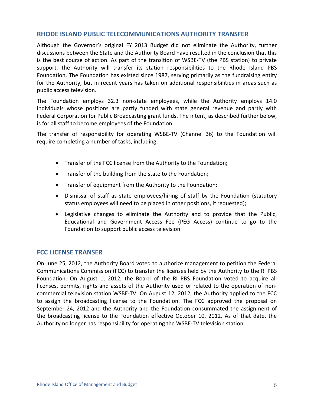#### **RHODE ISLAND PUBLIC TELECOMMUNICATIONS AUTHORITY TRANSFER**

Although the Governor's original FY 2013 Budget did not eliminate the Authority, further discussions between the State and the Authority Board have resulted in the conclusion that this is the best course of action. As part of the transition of WSBE‐TV (the PBS station) to private support, the Authority will transfer its station responsibilities to the Rhode Island PBS Foundation. The Foundation has existed since 1987, serving primarily as the fundraising entity for the Authority, but in recent years has taken on additional responsibilities in areas such as public access television.

The Foundation employs 32.3 non-state employees, while the Authority employs 14.0 individuals whose positions are partly funded with state general revenue and partly with Federal Corporation for Public Broadcasting grant funds. The intent, as described further below, is for all staff to become employees of the Foundation.

The transfer of responsibility for operating WSBE‐TV (Channel 36) to the Foundation will require completing a number of tasks, including:

- Transfer of the FCC license from the Authority to the Foundation;
- Transfer of the building from the state to the Foundation;
- Transfer of equipment from the Authority to the Foundation;
- Dismissal of staff as state employees/hiring of staff by the Foundation (statutory status employees will need to be placed in other positions, if requested);
- Legislative changes to eliminate the Authority and to provide that the Public, Educational and Government Access Fee (PEG Access) continue to go to the Foundation to support public access television.

#### **FCC LICENSE TRANSER**

On June 25, 2012, the Authority Board voted to authorize management to petition the Federal Communications Commission (FCC) to transfer the licenses held by the Authority to the RI PBS Foundation. On August 1, 2012, the Board of the RI PBS Foundation voted to acquire all licenses, permits, rights and assets of the Authority used or related to the operation of non‐ commercial television station WSBE‐TV. On August 12, 2012, the Authority applied to the FCC to assign the broadcasting license to the Foundation. The FCC approved the proposal on September 24, 2012 and the Authority and the Foundation consummated the assignment of the broadcasting license to the Foundation effective October 10, 2012. As of that date, the Authority no longer has responsibility for operating the WSBE‐TV television station.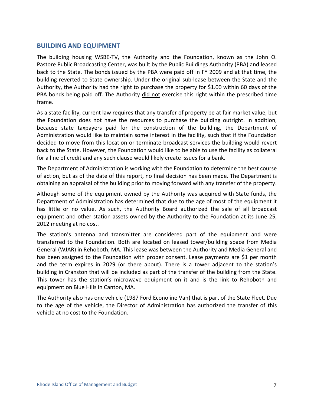#### **BUILDING AND EQUIPMENT**

The building housing WSBE‐TV, the Authority and the Foundation, known as the John O. Pastore Public Broadcasting Center, was built by the Public Buildings Authority (PBA) and leased back to the State. The bonds issued by the PBA were paid off in FY 2009 and at that time, the building reverted to State ownership. Under the original sub‐lease between the State and the Authority, the Authority had the right to purchase the property for \$1.00 within 60 days of the PBA bonds being paid off. The Authority did not exercise this right within the prescribed time frame.

As a state facility, current law requires that any transfer of property be at fair market value, but the Foundation does not have the resources to purchase the building outright. In addition, because state taxpayers paid for the construction of the building, the Department of Administration would like to maintain some interest in the facility, such that if the Foundation decided to move from this location or terminate broadcast services the building would revert back to the State. However, the Foundation would like to be able to use the facility as collateral for a line of credit and any such clause would likely create issues for a bank.

The Department of Administration is working with the Foundation to determine the best course of action, but as of the date of this report, no final decision has been made. The Department is obtaining an appraisal of the building prior to moving forward with any transfer of the property.

Although some of the equipment owned by the Authority was acquired with State funds, the Department of Administration has determined that due to the age of most of the equipment it has little or no value. As such, the Authority Board authorized the sale of all broadcast equipment and other station assets owned by the Authority to the Foundation at its June 25, 2012 meeting at no cost.

The station's antenna and transmitter are considered part of the equipment and were transferred to the Foundation. Both are located on leased tower/building space from Media General (WJAR) in Rehoboth, MA. This lease was between the Authority and Media General and has been assigned to the Foundation with proper consent. Lease payments are \$1 per month and the term expires in 2029 (or there about). There is a tower adjacent to the station's building in Cranston that will be included as part of the transfer of the building from the State. This tower has the station's microwave equipment on it and is the link to Rehoboth and equipment on Blue Hills in Canton, MA.

The Authority also has one vehicle (1987 Ford Econoline Van) that is part of the State Fleet. Due to the age of the vehicle, the Director of Administration has authorized the transfer of this vehicle at no cost to the Foundation.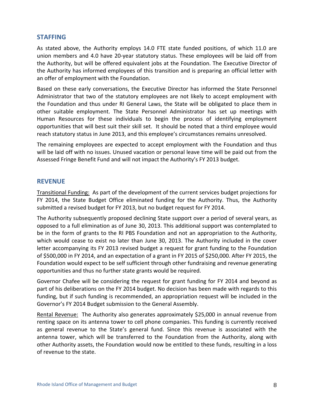#### **STAFFING**

As stated above, the Authority employs 14.0 FTE state funded positions, of which 11.0 are union members and 4.0 have 20‐year statutory status. These employees will be laid off from the Authority, but will be offered equivalent jobs at the Foundation. The Executive Director of the Authority has informed employees of this transition and is preparing an official letter with an offer of employment with the Foundation.

Based on these early conversations, the Executive Director has informed the State Personnel Administrator that two of the statutory employees are not likely to accept employment with the Foundation and thus under RI General Laws, the State will be obligated to place them in other suitable employment. The State Personnel Administrator has set up meetings with Human Resources for these individuals to begin the process of identifying employment opportunities that will best suit their skill set. It should be noted that a third employee would reach statutory status in June 2013, and this employee's circumstances remains unresolved.

The remaining employees are expected to accept employment with the Foundation and thus will be laid off with no issues. Unused vacation or personal leave time will be paid out from the Assessed Fringe Benefit Fund and will not impact the Authority's FY 2013 budget.

#### **REVENUE**

Transitional Funding: As part of the development of the current services budget projections for FY 2014, the State Budget Office eliminated funding for the Authority. Thus, the Authority submitted a revised budget for FY 2013, but no budget request for FY 2014.

The Authority subsequently proposed declining State support over a period of several years, as opposed to a full elimination as of June 30, 2013. This additional support was contemplated to be in the form of grants to the RI PBS Foundation and not an appropriation to the Authority, which would cease to exist no later than June 30, 2013. The Authority included in the cover letter accompanying its FY 2013 revised budget a request for grant funding to the Foundation of \$500,000 in FY 2014, and an expectation of a grant in FY 2015 of \$250,000. After FY 2015, the Foundation would expect to be self sufficient through other fundraising and revenue generating opportunities and thus no further state grants would be required.

Governor Chafee will be considering the request for grant funding for FY 2014 and beyond as part of his deliberations on the FY 2014 budget. No decision has been made with regards to this funding, but if such funding is recommended, an appropriation request will be included in the Governor's FY 2014 Budget submission to the General Assembly.

Rental Revenue: The Authority also generates approximately \$25,000 in annual revenue from renting space on its antenna tower to cell phone companies. This funding is currently received as general revenue to the State's general fund. Since this revenue is associated with the antenna tower, which will be transferred to the Foundation from the Authority, along with other Authority assets, the Foundation would now be entitled to these funds, resulting in a loss of revenue to the state.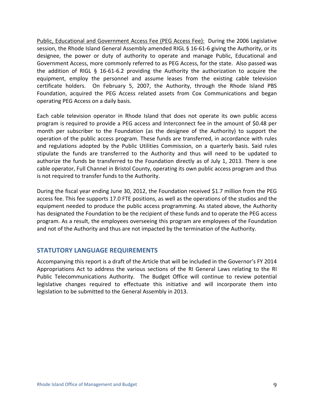Public, Educational and Government Access Fee (PEG Access Fee): During the 2006 Legislative session, the Rhode Island General Assembly amended RIGL § 16-61-6 giving the Authority, or its designee, the power or duty of authority to operate and manage Public, Educational and Government Access, more commonly referred to as PEG Access, for the state. Also passed was the addition of RIGL § 16-61-6.2 providing the Authority the authorization to acquire the equipment, employ the personnel and assume leases from the existing cable television certificate holders. On February 5, 2007, the Authority, through the Rhode Island PBS Foundation, acquired the PEG Access related assets from Cox Communications and began operating PEG Access on a daily basis.

Each cable television operator in Rhode Island that does not operate its own public access program is required to provide a PEG access and Interconnect fee in the amount of \$0.48 per month per subscriber to the Foundation (as the designee of the Authority) to support the operation of the public access program. These funds are transferred, in accordance with rules and regulations adopted by the Public Utilities Commission, on a quarterly basis. Said rules stipulate the funds are transferred to the Authority and thus will need to be updated to authorize the funds be transferred to the Foundation directly as of July 1, 2013. There is one cable operator, Full Channel in Bristol County, operating its own public access program and thus is not required to transfer funds to the Authority.

During the fiscal year ending June 30, 2012, the Foundation received \$1.7 million from the PEG access fee. This fee supports 17.0 FTE positions, as well as the operations of the studios and the equipment needed to produce the public access programming. As stated above, the Authority has designated the Foundation to be the recipient of these funds and to operate the PEG access program. As a result, the employees overseeing this program are employees of the Foundation and not of the Authority and thus are not impacted by the termination of the Authority.

#### **STATUTORY LANGUAGE REQUIREMENTS**

Accompanying this report is a draft of the Article that will be included in the Governor's FY 2014 Appropriations Act to address the various sections of the RI General Laws relating to the RI Public Telecommunications Authority. The Budget Office will continue to review potential legislative changes required to effectuate this initiative and will incorporate them into legislation to be submitted to the General Assembly in 2013.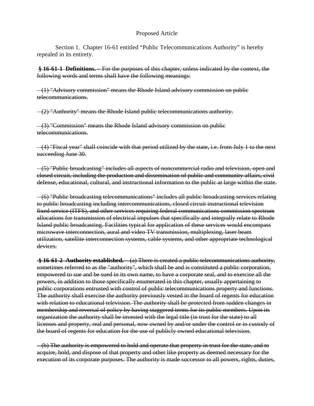#### Proposed Article

 Section 1. Chapter 16-61 entitled "Public Telecommunications Authority" is hereby repealed in its entirety.

**§ 16-61-1 Definitions. –** For the purposes of this chapter, unless indicated by the context, the following words and terms shall have the following meanings:

 (1) "Advisory commission" means the Rhode Island advisory commission on public telecommunications.

(2) "Authority" means the Rhode Island public telecommunications authority.

 (3) "Commission" means the Rhode Island advisory commission on public telecommunications.

 (4) "Fiscal year" shall coincide with that period utilized by the state, i.e. from July 1 to the next succeeding June 30.

 (5) "Public broadcasting" includes all aspects of noncommercial radio and television, open and closed circuit, including the production and dissemination of public and community affairs, civil defense, educational, cultural, and instructional information to the public at large within the state.

 (6) "Public broadcasting telecommunications" includes all public broadcasting services relating to public broadcasting including intercommunications, closed circuit instructional television fixed service (ITFS), and other services requiring federal communications commission spectrum allocations for transmission of electrical impulses that specifically and integrally relate to Rhode Island public broadcasting. Facilities typical for application of these services would encompass microwave interconnection, aural and video TV transmission, multiplexing, laser beam utilization, satellite interconnection systems, cable systems, and other appropriate technological devices.

**§ 16-61-2 Authority established. –** (a) There is created a public telecommunications authority, sometimes referred to as the "authority", which shall be and is constituted a public corporation, empowered to sue and be sued in its own name, to have a corporate seal, and to exercise all the powers, in addition to those specifically enumerated in this chapter, usually appertaining to public corporations entrusted with control of public telecommunications property and functions. The authority shall exercise the authority previously vested in the board of regents for education with relation to educational television. The authority shall be protected from sudden changes in membership and reversal of policy by having staggered terms for its public members. Upon its organization the authority shall be invested with the legal title (in trust for the state) to all licenses and property, real and personal, now owned by and/or under the control or in custody of the board of regents for education for the use of publicly owned educational television.

 (b) The authority is empowered to hold and operate that property in trust for the state, and to acquire, hold, and dispose of that property and other like property as deemed necessary for the execution of its corporate purposes. The authority is made successor to all powers, rights, duties,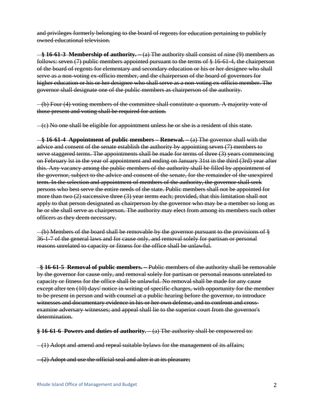and privileges formerly belonging to the board of regents for education pertaining to publicly owned educational television.

 **§ 16-61-3 Membership of authority. –** (a) The authority shall consist of nine (9) members as follows: seven (7) public members appointed pursuant to the terms of § 16-61-4, the chairperson of the board of regents for elementary and secondary education or his or her designee who shall serve as a non-voting ex-officio member, and the chairperson of the board of governors for higher education or his or her designee who shall serve as a non-voting ex-officio member. The governor shall designate one of the public members as chairperson of the authority.

 (b) Four (4) voting members of the committee shall constitute a quorum. A majority vote of those present and voting shall be required for action.

(c) No one shall be eligible for appointment unless he or she is a resident of this state.

 **§ 16-61-4 Appointment of public members – Renewal. –** (a) The governor shall with the advice and consent of the senate establish the authority by appointing seven (7) members to serve staggered terms. The appointments shall be made for terms of three (3) years commencing on February lst in the year of appointment and ending on January 31st in the third (3rd) year after this. Any vacancy among the public members of the authority shall be filled by appointment of the governor, subject to the advice and consent of the senate, for the remainder of the unexpired term. In the selection and appointment of members of the authority, the governor shall seek persons who best serve the entire needs of the state. Public members shall not be appointed for more than two (2) successive three (3) year terms each; provided, that this limitation shall not apply to that person designated as chairperson by the governor who may be a member so long as he or she shall serve as chairperson. The authority may elect from among its members such other officers as they deem necessary.

 (b) Members of the board shall be removable by the governor pursuant to the provisions of § 36-1-7 of the general laws and for cause only, and removal solely for partisan or personal reasons unrelated to capacity or fitness for the office shall be unlawful.

 **§ 16-61-5 Removal of public members. –** Public members of the authority shall be removable by the governor for cause only, and removal solely for partisan or personal reasons unrelated to capacity or fitness for the office shall be unlawful. No removal shall be made for any cause except after ten (10) days' notice in writing of specific charges, with opportunity for the member to be present in person and with counsel at a public hearing before the governor, to introduce witnesses and documentary evidence in his or her own defense, and to confront and crossexamine adversary witnesses; and appeal shall lie to the superior court from the governor's determination.

**§ 16-61-6 Powers and duties of authority. –** (a) The authority shall be empowered to:

 $-(1)$  Adopt and amend and repeal suitable by laws for the management of its affairs;

 $-(2)$  Adopt and use the official seal and alter it at its pleasure;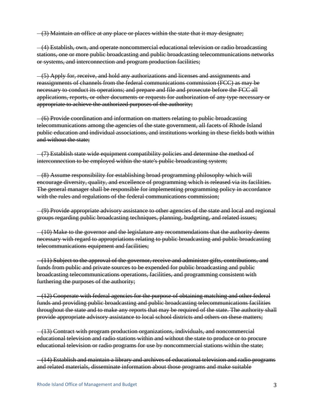(3) Maintain an office at any place or places within the state that it may designate;

 (4) Establish, own, and operate noncommercial educational television or radio broadcasting stations, one or more public broadcasting and public broadcasting telecommunications networks or systems, and interconnection and program production facilities;

 (5) Apply for, receive, and hold any authorizations and licenses and assignments and reassignments of channels from the federal communications commission (FCC) as may be necessary to conduct its operations; and prepare and file and prosecute before the FCC all applications, reports, or other documents or requests for authorization of any type necessary or appropriate to achieve the authorized purposes of the authority;

 (6) Provide coordination and information on matters relating to public broadcasting telecommunications among the agencies of the state government, all facets of Rhode Island public education and individual associations, and institutions working in these fields both within and without the state;

 (7) Establish state wide equipment compatibility policies and determine the method of interconnection to be employed within the state's public broadcasting system;

 (8) Assume responsibility for establishing broad programming philosophy which will encourage diversity, quality, and excellence of programming which is released via its facilities. The general manager shall be responsible for implementing programming policy in accordance with the rules and regulations of the federal communications commission;

 (9) Provide appropriate advisory assistance to other agencies of the state and local and regional groups regarding public broadcasting techniques, planning, budgeting, and related issues;

 $-(10)$  Make to the governor and the legislature any recommendations that the authority deems necessary with regard to appropriations relating to public broadcasting and public broadcasting telecommunications equipment and facilities;

 (11) Subject to the approval of the governor, receive and administer gifts, contributions, and funds from public and private sources to be expended for public broadcasting and public broadcasting telecommunications operations, facilities, and programming consistent with furthering the purposes of the authority;

 (12) Cooperate with federal agencies for the purpose of obtaining matching and other federal funds and providing public broadcasting and public broadcasting telecommunications facilities throughout the state and to make any reports that may be required of the state. The authority shall provide appropriate advisory assistance to local school districts and others on these matters;

 (13) Contract with program production organizations, individuals, and noncommercial educational television and radio stations within and without the state to produce or to procure educational television or radio programs for use by noncommercial stations within the state;

 (14) Establish and maintain a library and archives of educational television and radio programs and related materials, disseminate information about those programs and make suitable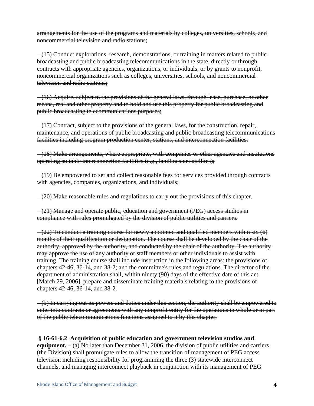arrangements for the use of the programs and materials by colleges, universities, schools, and noncommercial television and radio stations;

 (15) Conduct explorations, research, demonstrations, or training in matters related to public broadcasting and public broadcasting telecommunications in the state, directly or through contracts with appropriate agencies, organizations, or individuals, or by grants to nonprofit, noncommercial organizations such as colleges, universities, schools, and noncommercial television and radio stations;

 (16) Acquire, subject to the provisions of the general laws, through lease, purchase, or other means, real and other property and to hold and use this property for public broadcasting and public broadcasting telecommunications purposes;

 (17) Contract, subject to the provisions of the general laws, for the construction, repair, maintenance, and operations of public broadcasting and public broadcasting telecommunications facilities including program production center, stations, and interconnection facilities;

 (18) Make arrangements, where appropriate, with companies or other agencies and institutions operating suitable interconnection facilities (e.g., landlines or satellites);

 (19) Be empowered to set and collect reasonable fees for services provided through contracts with agencies, companies, organizations, and individuals;

(20) Make reasonable rules and regulations to carry out the provisions of this chapter.

 $-(21)$  Manage and operate public, education and government (PEG) access studios in compliance with rules promulgated by the division of public utilities and carriers.

 $-(22)$  To conduct a training course for newly appointed and qualified members within six  $(6)$ months of their qualification or designation. The course shall be developed by the chair of the authority, approved by the authority, and conducted by the chair of the authority. The authority may approve the use of any authority or staff members or other individuals to assist with training. The training course shall include instruction in the following areas: the provisions of chapters 42-46, 36-14, and 38-2; and the committee's rules and regulations. The director of the department of administration shall, within ninety (90) days of the effective date of this act [March 29, 2006], prepare and disseminate training materials relating to the provisions of chapters 42-46, 36-14, and 38-2.

 (b) In carrying out its powers and duties under this section, the authority shall be empowered to enter into contracts or agreements with any nonprofit entity for the operations in whole or in part of the public telecommunications functions assigned to it by this chapter.

#### **§ 16-61-6.2 Acquisition of public education and government television studios and**

**equipment. –** (a) No later than December 31, 2006, the division of public utilities and carriers (the Division) shall promulgate rules to allow the transition of management of PEG access television including responsibility for programming the three (3) statewide interconnect channels, and managing interconnect playback in conjunction with its management of PEG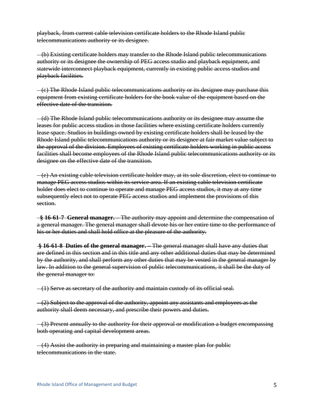playback, from current cable television certificate holders to the Rhode Island public telecommunications authority or its designee.

 (b) Existing certificate holders may transfer to the Rhode Island public telecommunications authority or its designee the ownership of PEG access studio and playback equipment, and statewide interconnect playback equipment, currently in existing public access studios and playback facilities.

 (c) The Rhode Island public telecommunications authority or its designee may purchase this equipment from existing certificate holders for the book value of the equipment based on the effective date of the transition.

 (d) The Rhode Island public telecommunications authority or its designee may assume the leases for public access studios in those facilities where existing certificate holders currently lease space. Studios in buildings owned by existing certificate holders shall be leased by the Rhode Island public telecommunications authority or its designee at fair market value subject to the approval of the division. Employees of existing certificate holders working in public access facilities shall become employees of the Rhode Island public telecommunications authority or its designee on the effective date of the transition.

 (e) An existing cable television certificate holder may, at its sole discretion, elect to continue to manage PEG access studios within its service area. If an existing cable television certificate holder does elect to continue to operate and manage PEG access studios, it may at any time subsequently elect not to operate PEG access studios and implement the provisions of this section.

 **§ 16-61-7 General manager. –** The authority may appoint and determine the compensation of a general manager. The general manager shall devote his or her entire time to the performance of his or her duties and shall hold office at the pleasure of the authority.

**§ 16-61-8 Duties of the general manager. –** The general manager shall have any duties that are defined in this section and in this title and any other additional duties that may be determined by the authority, and shall perform any other duties that may be vested in the general manager by law. In addition to the general supervision of public telecommunications, it shall be the duty of the general manager to:

 $-(1)$  Serve as secretary of the authority and maintain custody of its official seal.

 $-(2)$  Subject to the approval of the authority, appoint any assistants and employees as the authority shall deem necessary, and prescribe their powers and duties.

 (3) Present annually to the authority for their approval or modification a budget encompassing both operating and capital development areas.

 (4) Assist the authority in preparing and maintaining a master plan for public telecommunications in the state.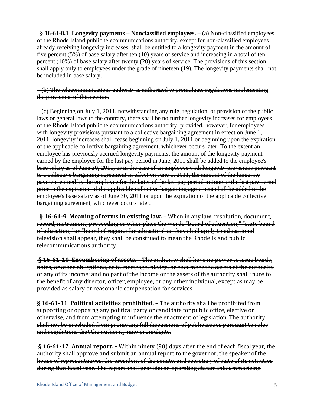**§ 16-61-8.1 Longevity payments – Nonclassified employees. –** (a) Non-classified employees of the Rhode Island public telecommunications authority, except for non-classified employees already receiving longevity increases, shall be entitled to a longevity payment in the amount of five percent (5%) of base salary after ten (10) years of service and increasing in a total of ten percent (10%) of base salary after twenty (20) years of service. The provisions of this section shall apply only to employees under the grade of nineteen (19). The longevity payments shall not be included in base salary.

 (b) The telecommunications authority is authorized to promulgate regulations implementing the provisions of this section.

 (c) Beginning on July 1, 2011, notwithstanding any rule, regulation, or provision of the public laws or general laws to the contrary, there shall be no further longevity increases for employees of the Rhode Island public telecommunications authority; provided, however, for employees with longevity provisions pursuant to a collective bargaining agreement in effect on June 1, 2011, longevity increases shall cease beginning on July 1, 2011 or beginning upon the expiration of the applicable collective bargaining agreement, whichever occurs later. To the extent an employee has previously accrued longevity payments, the amount of the longevity payment earned by the employee for the last pay period in June, 2011 shall be added to the employee's base salary as of June 30, 2011, or in the case of an employee with longevity provisions pursuant to a collective bargaining agreement in effect on June 1, 2011, the amount of the longevity payment earned by the employee for the latter of the last pay period in June or the last pay period prior to the expiration of the applicable collective bargaining agreement shall be added to the employee's base salary as of June 30, 2011 or upon the expiration of the applicable collective bargaining agreement, whichever occurs later.

 **§ 16619 Meaning of terms in existing law. –** When in any law, resolution, document, record, instrument, proceeding or other place the words "board of education," "state board of education," or "board of regents for education" as they shall apply to educational television shall appear, they shall be construed to mean the Rhode Island public telecommunications authority.

**§ 166110 Encumbering of assets. –** The authority shall have no power to issue bonds, notes, or other obligations, or to mortgage, pledge, or encumber the assets of the authority or any of its income; and no part of the income or the assets of the authority shall inure to the benefit of any director, officer, employee, or any other individual, except as may be provided as salary or reasonable compensation for services.

**§ 166111 Political activities prohibited. –** The authority shall be prohibited from supporting or opposing any political party or candidate for public office, elective or otherwise, and from attempting to influence the enactment of legislation. The authority shall not be precluded from promoting full discussions of public issues pursuant to rules and regulations that the authority may promulgate.

**§ 166112 Annual report. –** Within ninety (90) days after the end of each fiscal year, the authority shall approve and submit an annual report to the governor, the speaker of the house of representatives, the president of the senate, and secretary of state of its activities during that fiscal year. The report shall provide: an operating statement summarizing